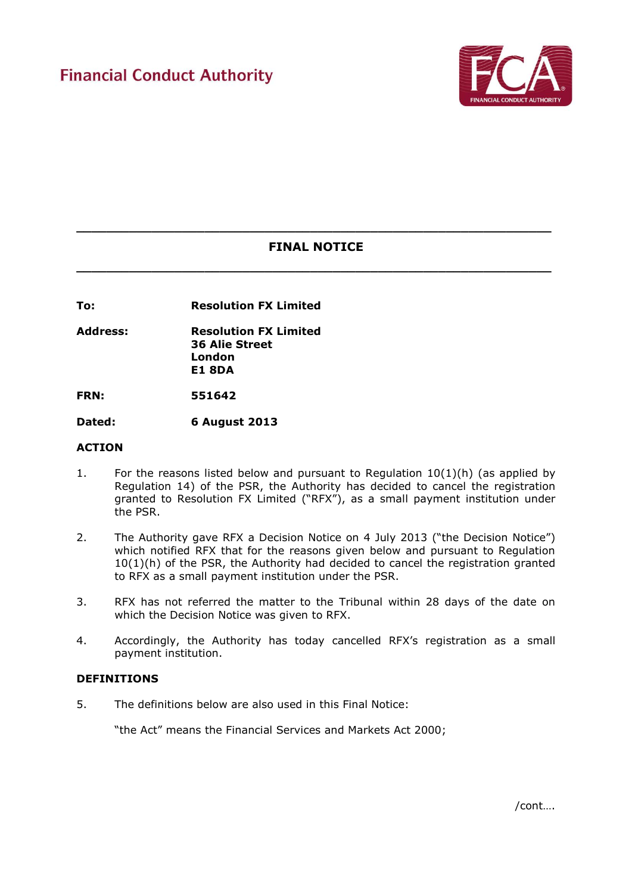

# **\_\_\_\_\_\_\_\_\_\_\_\_\_\_\_\_\_\_\_\_\_\_\_\_\_\_\_\_\_\_\_\_\_\_\_\_\_\_\_\_\_\_\_\_\_\_\_\_\_\_\_\_\_\_\_\_\_\_\_\_\_\_\_ FINAL NOTICE**

**\_\_\_\_\_\_\_\_\_\_\_\_\_\_\_\_\_\_\_\_\_\_\_\_\_\_\_\_\_\_\_\_\_\_\_\_\_\_\_\_\_\_\_\_\_\_\_\_\_\_\_\_\_\_\_\_\_\_\_\_\_\_\_**

**To: Resolution FX Limited**

**Address: Resolution FX Limited 36 Alie Street London E1 8DA**

**FRN: 551642**

**Dated: 6 August 2013** 

#### **ACTION**

- 1. For the reasons listed below and pursuant to Regulation  $10(1)(h)$  (as applied by Regulation 14) of the PSR, the Authority has decided to cancel the registration granted to Resolution FX Limited ("RFX"), as a small payment institution under the PSR.
- 2. The Authority gave RFX a Decision Notice on 4 July 2013 ("the Decision Notice") which notified RFX that for the reasons given below and pursuant to Regulation  $10(1)(h)$  of the PSR, the Authority had decided to cancel the registration granted to RFX as a small payment institution under the PSR.
- 3. RFX has not referred the matter to the Tribunal within 28 days of the date on which the Decision Notice was given to RFX.
- 4. Accordingly, the Authority has today cancelled RFX's registration as a small payment institution.

#### **DEFINITIONS**

5. The definitions below are also used in this Final Notice:

"the Act" means the Financial Services and Markets Act 2000;